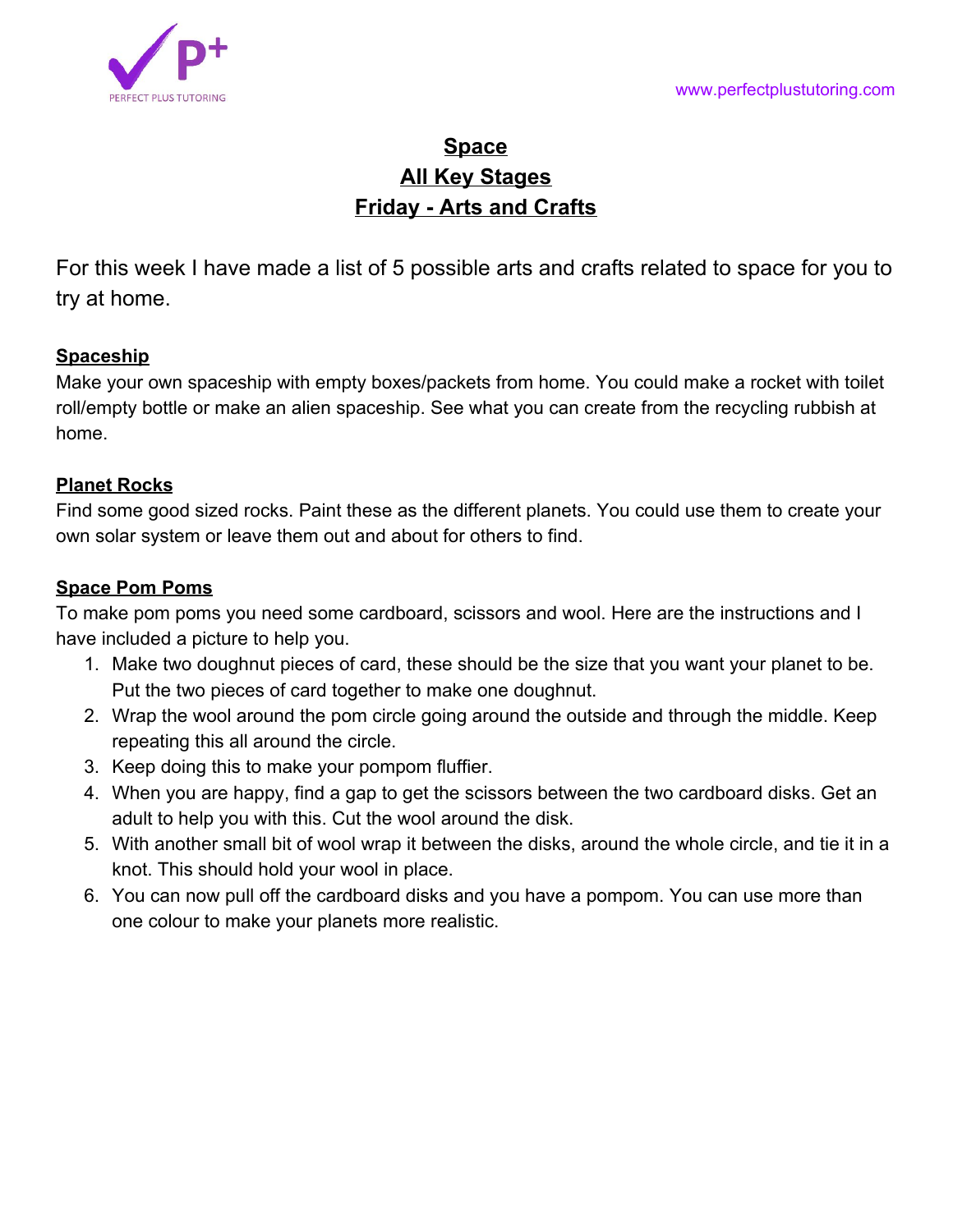# **Space All Key Stages Friday - Arts and Crafts**

For this week I have made a list of 5 possible arts and crafts related to space for you to try at home.

## **Spaceship**

Make your own spaceship with empty boxes/packets from home. You could make a rocket with toilet roll/empty bottle or make an alien spaceship. See what you can create from the recycling rubbish at home.

### **Planet Rocks**

Find some good sized rocks. Paint these as the different planets. You could use them to create your own solar system or leave them out and about for others to find.

## **Space Pom Poms**

To make pom poms you need some cardboard, scissors and wool. Here are the instructions and I have included a picture to help you.

- 1. Make two doughnut pieces of card, these should be the size that you want your planet to be. Put the two pieces of card together to make one doughnut.
- 2. Wrap the wool around the pom circle going around the outside and through the middle. Keep repeating this all around the circle.
- 3. Keep doing this to make your pompom fluffier.
- 4. When you are happy, find a gap to get the scissors between the two cardboard disks. Get an adult to help you with this. Cut the wool around the disk.
- 5. With another small bit of wool wrap it between the disks, around the whole circle, and tie it in a knot. This should hold your wool in place.
- 6. You can now pull off the cardboard disks and you have a pompom. You can use more than one colour to make your planets more realistic.